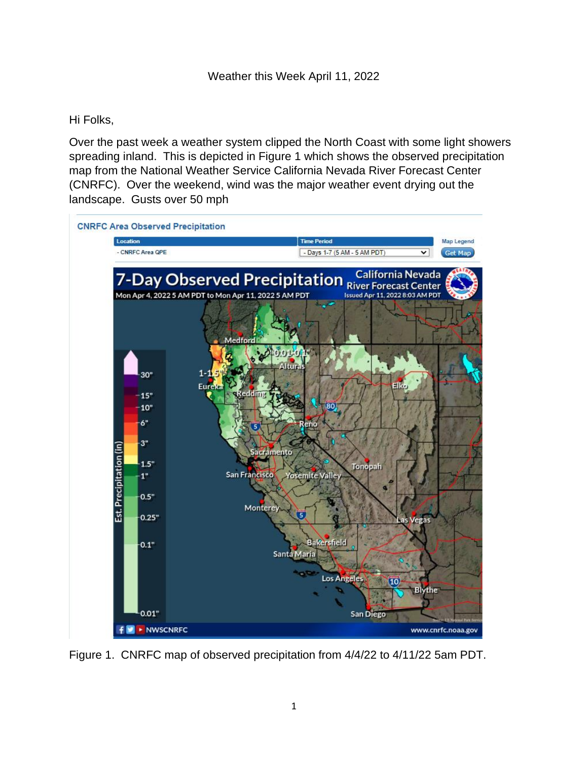## Hi Folks,

Over the past week a weather system clipped the North Coast with some light showers spreading inland. This is depicted in Figure 1 which shows the observed precipitation map from the National Weather Service California Nevada River Forecast Center (CNRFC). Over the weekend, wind was the major weather event drying out the landscape. Gusts over 50 mph



Figure 1. CNRFC map of observed precipitation from 4/4/22 to 4/11/22 5am PDT.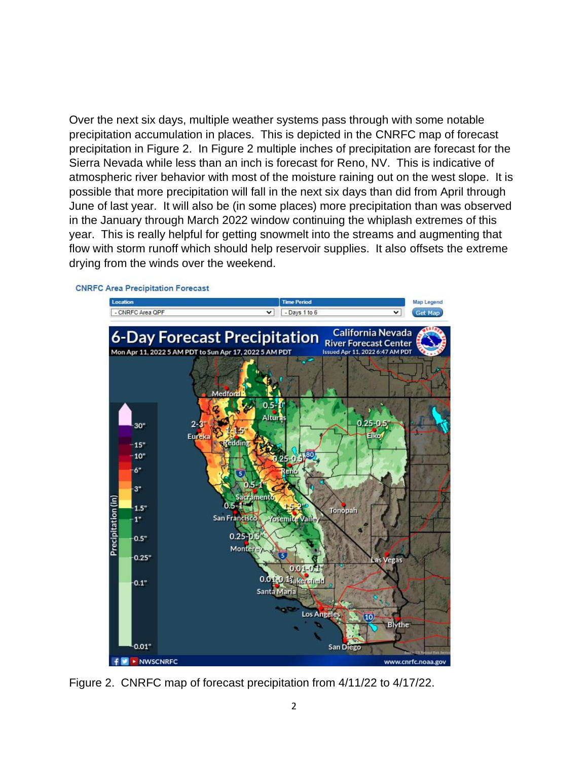Over the next six days, multiple weather systems pass through with some notable precipitation accumulation in places. This is depicted in the CNRFC map of forecast precipitation in Figure 2. In Figure 2 multiple inches of precipitation are forecast for the Sierra Nevada while less than an inch is forecast for Reno, NV. This is indicative of atmospheric river behavior with most of the moisture raining out on the west slope. It is possible that more precipitation will fall in the next six days than did from April through June of last year. It will also be (in some places) more precipitation than was observed in the January through March 2022 window continuing the whiplash extremes of this year. This is really helpful for getting snowmelt into the streams and augmenting that flow with storm runoff which should help reservoir supplies. It also offsets the extreme drying from the winds over the weekend.



**CNRFC Area Precipitation Forecast** 

Figure 2. CNRFC map of forecast precipitation from 4/11/22 to 4/17/22.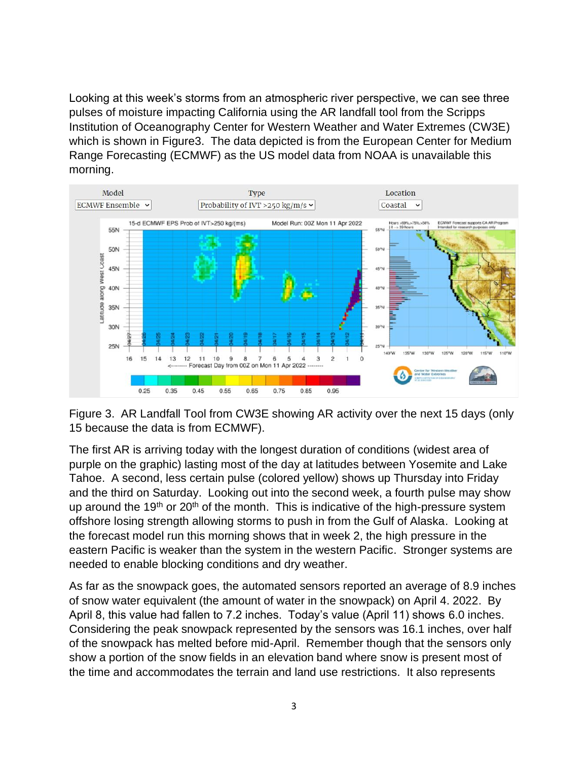Looking at this week's storms from an atmospheric river perspective, we can see three pulses of moisture impacting California using the AR landfall tool from the Scripps Institution of Oceanography Center for Western Weather and Water Extremes (CW3E) which is shown in Figure3. The data depicted is from the European Center for Medium Range Forecasting (ECMWF) as the US model data from NOAA is unavailable this morning.



Figure 3. AR Landfall Tool from CW3E showing AR activity over the next 15 days (only 15 because the data is from ECMWF).

The first AR is arriving today with the longest duration of conditions (widest area of purple on the graphic) lasting most of the day at latitudes between Yosemite and Lake Tahoe. A second, less certain pulse (colored yellow) shows up Thursday into Friday and the third on Saturday. Looking out into the second week, a fourth pulse may show up around the 19<sup>th</sup> or 20<sup>th</sup> of the month. This is indicative of the high-pressure system offshore losing strength allowing storms to push in from the Gulf of Alaska. Looking at the forecast model run this morning shows that in week 2, the high pressure in the eastern Pacific is weaker than the system in the western Pacific. Stronger systems are needed to enable blocking conditions and dry weather.

As far as the snowpack goes, the automated sensors reported an average of 8.9 inches of snow water equivalent (the amount of water in the snowpack) on April 4. 2022. By April 8, this value had fallen to 7.2 inches. Today's value (April 11) shows 6.0 inches. Considering the peak snowpack represented by the sensors was 16.1 inches, over half of the snowpack has melted before mid-April. Remember though that the sensors only show a portion of the snow fields in an elevation band where snow is present most of the time and accommodates the terrain and land use restrictions. It also represents